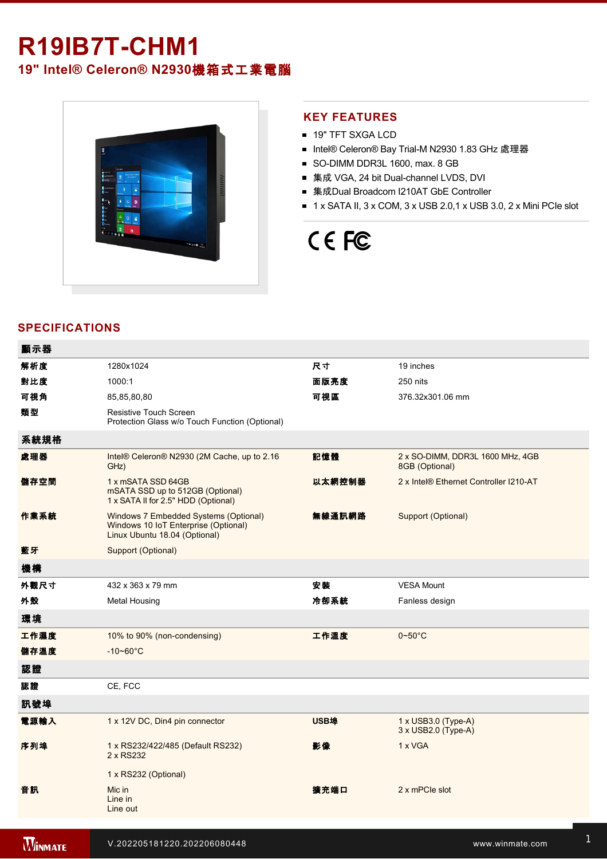# **R19IB7T-CHM1**

**19" Intel® Celeron® N2930**機箱式工業電腦



## **KEY FEATURES**

- **19" TFT SXGA LCD**
- Intel® Celeron® Bay Trial-M N2930 1.83 GHz 處理器
- SO-DIMM DDR3L 1600, max. 8 GB
- 集成 VGA, 24 bit Dual-channel LVDS, DVI
- 集成Dual Broadcom I210AT GbE Controller
- $\blacksquare$  1 x SATA II, 3 x COM, 3 x USB 2.0,1 x USB 3.0, 2 x Mini PCIe slot

# CE FC

# **SPECIFICATIONS**

| 顯示器  |                                                                                                                |        |                                                    |
|------|----------------------------------------------------------------------------------------------------------------|--------|----------------------------------------------------|
| 解析度  | 1280x1024                                                                                                      | 尺寸     | 19 inches                                          |
| 對比度  | 1000:1                                                                                                         | 面版亮度   | 250 nits                                           |
| 可視角  | 85,85,80,80                                                                                                    | 可視區    | 376.32x301.06 mm                                   |
| 類型   | Resistive Touch Screen<br>Protection Glass w/o Touch Function (Optional)                                       |        |                                                    |
| 系統規格 |                                                                                                                |        |                                                    |
| 處理器  | Intel® Celeron® N2930 (2M Cache, up to 2.16<br>GHz)                                                            | 記憶體    | 2 x SO-DIMM, DDR3L 1600 MHz, 4GB<br>8GB (Optional) |
| 儲存空間 | 1 x mSATA SSD 64GB<br>mSATA SSD up to 512GB (Optional)<br>1 x SATA II for 2.5" HDD (Optional)                  | 以太網控制器 | 2 x Intel® Ethernet Controller I210-AT             |
| 作業系統 | Windows 7 Embedded Systems (Optional)<br>Windows 10 IoT Enterprise (Optional)<br>Linux Ubuntu 18.04 (Optional) | 無線通訊網路 | Support (Optional)                                 |
| 藍牙   | Support (Optional)                                                                                             |        |                                                    |
| 機構   |                                                                                                                |        |                                                    |
| 外觀尺寸 | 432 x 363 x 79 mm                                                                                              | 安裝     | <b>VESA Mount</b>                                  |
| 外殼   | <b>Metal Housing</b>                                                                                           | 冷卻系統   | Fanless design                                     |
| 環境   |                                                                                                                |        |                                                    |
| 工作濕度 | 10% to 90% (non-condensing)                                                                                    | 工作溫度   | $0 - 50$ °C                                        |
| 儲存溫度 | $-10 - 60^{\circ}C$                                                                                            |        |                                                    |
| 認證   |                                                                                                                |        |                                                    |
| 認證   | CE, FCC                                                                                                        |        |                                                    |
| 訊號埠  |                                                                                                                |        |                                                    |
| 電源輸入 | 1 x 12V DC, Din4 pin connector                                                                                 | USB埠   | $1 \times$ USB3.0 (Type-A)<br>3 x USB2.0 (Type-A)  |
| 序列埠  | 1 x RS232/422/485 (Default RS232)<br>2 x RS232                                                                 | 影像     | 1 x VGA                                            |
|      | 1 x RS232 (Optional)                                                                                           |        |                                                    |
| 音訊   | Mic in<br>Line in<br>Line out                                                                                  | 擴充端口   | 2 x mPCle slot                                     |
|      |                                                                                                                |        |                                                    |